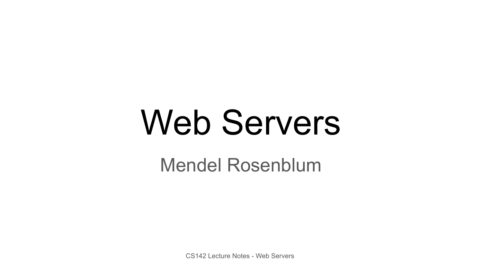# Web Servers

Mendel Rosenblum

CS142 Lecture Notes - Web Servers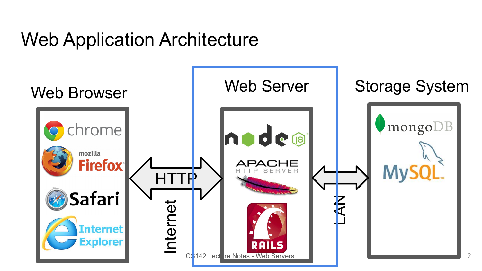#### Web Application Architecture

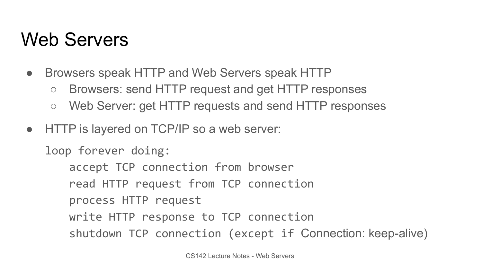#### Web Servers

- Browsers speak HTTP and Web Servers speak HTTP
	- Browsers: send HTTP request and get HTTP responses
	- Web Server: get HTTP requests and send HTTP responses
- HTTP is layered on TCP/IP so a web server:

loop forever doing:

accept TCP connection from browser read HTTP request from TCP connection process HTTP request write HTTP response to TCP connection shutdown TCP connection (except if Connection: keep-alive)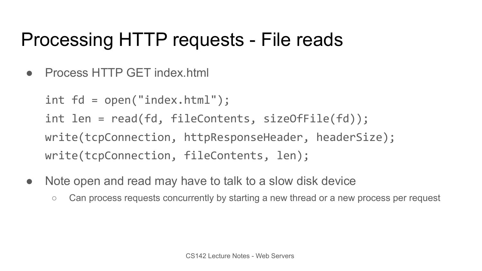#### Processing HTTP requests - File reads

● Process HTTP GET index.html

int fd = open("index.html"); int len = read(fd, fileContents, sizeOfFile(fd)); write(tcpConnection, httpResponseHeader, headerSize); write(tcpConnection, fileContents, len);

- Note open and read may have to talk to a slow disk device
	- Can process requests concurrently by starting a new thread or a new process per request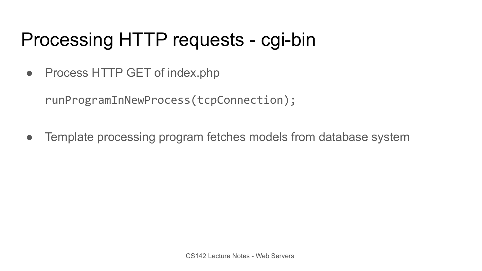#### Processing HTTP requests - cgi-bin

• Process HTTP GET of index.php

runProgramInNewProcess(tcpConnection);

• Template processing program fetches models from database system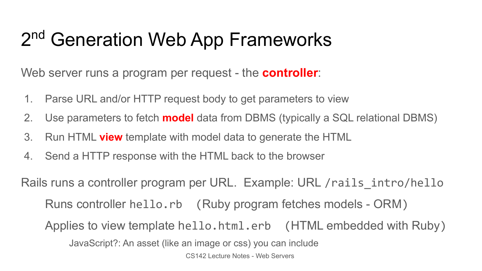## 2<sup>nd</sup> Generation Web App Frameworks

Web server runs a program per request - the **controller**:

- 1. Parse URL and/or HTTP request body to get parameters to view
- 2. Use parameters to fetch **model** data from DBMS (typically a SQL relational DBMS)
- 3. Run HTML **view** template with model data to generate the HTML
- 4. Send a HTTP response with the HTML back to the browser

Rails runs a controller program per URL. Example: URL /rails\_intro/hello

Runs controller hello.rb (Ruby program fetches models - ORM)

Applies to view template hello.html.erb (HTML embedded with Ruby)

JavaScript?: An asset (like an image or css) you can include

CS142 Lecture Notes - Web Servers